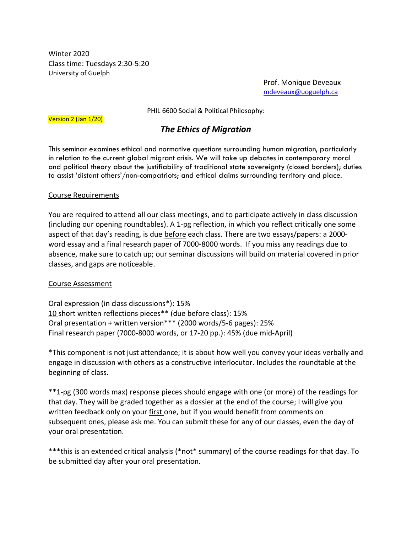Winter 2020 Class time: Tuesdays 2:30-5:20 University of Guelph

> Prof. Monique Deveaux [mdeveaux@uoguelph.ca](mailto:mdeveaux@uoguelph.ca)

PHIL 6600 Social & Political Philosophy:

Version 2 (Jan 1/20)

# *The Ethics of Migration*

This seminar examines ethical and normative questions surrounding human migration, particularly in relation to the current global migrant crisis. We will take up debates in contemporary moral and political theory about the justifiability of traditional state sovereignty (closed borders); duties to assist 'distant others'/non-compatriots; and ethical claims surrounding territory and place.

### Course Requirements

You are required to attend all our class meetings, and to participate actively in class discussion (including our opening roundtables). A 1-pg reflection, in which you reflect critically one some aspect of that day's reading, is due before each class. There are two essays/papers: a 2000 word essay and a final research paper of 7000-8000 words. If you miss any readings due to absence, make sure to catch up; our seminar discussions will build on material covered in prior classes, and gaps are noticeable.

### Course Assessment

Oral expression (in class discussions\*): 15% 10 short written reflections pieces\*\* (due before class): 15% Oral presentation + written version\*\*\* (2000 words/5-6 pages): 25% Final research paper (7000-8000 words, or 17-20 pp.): 45% (due mid-April)

\*This component is not just attendance; it is about how well you convey your ideas verbally and engage in discussion with others as a constructive interlocutor. Includes the roundtable at the beginning of class.

\*\*1-pg (300 words max) response pieces should engage with one (or more) of the readings for that day. They will be graded together as a dossier at the end of the course; I will give you written feedback only on your first one, but if you would benefit from comments on subsequent ones, please ask me. You can submit these for any of our classes, even the day of your oral presentation.

\*\*\*this is an extended critical analysis (\*not\* summary) of the course readings for that day. To be submitted day after your oral presentation.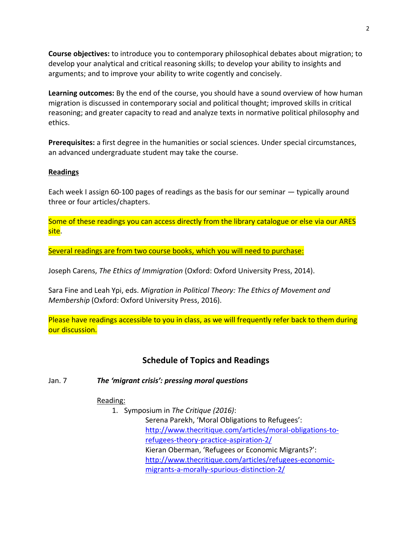**Course objectives:** to introduce you to contemporary philosophical debates about migration; to develop your analytical and critical reasoning skills; to develop your ability to insights and arguments; and to improve your ability to write cogently and concisely.

**Learning outcomes:** By the end of the course, you should have a sound overview of how human migration is discussed in contemporary social and political thought; improved skills in critical reasoning; and greater capacity to read and analyze texts in normative political philosophy and ethics.

**Prerequisites:** a first degree in the humanities or social sciences. Under special circumstances, an advanced undergraduate student may take the course.

# **Readings**

Each week I assign 60-100 pages of readings as the basis for our seminar — typically around three or four articles/chapters.

Some of these readings you can access directly from the library catalogue or else via our ARES site.

Several readings are from two course books, which you will need to purchase:

Joseph Carens, *The Ethics of Immigration* (Oxford: Oxford University Press, 2014).

Sara Fine and Leah Ypi, eds. *Migration in Political Theory: The Ethics of Movement and Membership* (Oxford: Oxford University Press, 2016).

Please have readings accessible to you in class, as we will frequently refer back to them during our discussion.

# **Schedule of Topics and Readings**

### Jan. 7 *The 'migrant crisis': pressing moral questions*

### Reading:

1. Symposium in *The Critique (2016)*:

Serena Parekh, 'Moral Obligations to Refugees': [http://www.thecritique.com/articles/moral-obligations-to](http://www.thecritique.com/articles/moral-obligations-to-refugees-theory-practice-aspiration-2/)[refugees-theory-practice-aspiration-2/](http://www.thecritique.com/articles/moral-obligations-to-refugees-theory-practice-aspiration-2/) Kieran Oberman, 'Refugees or Economic Migrants?': [http://www.thecritique.com/articles/refugees-economic](http://www.thecritique.com/articles/refugees-economic-migrants-a-morally-spurious-distinction-2/)[migrants-a-morally-spurious-distinction-2/](http://www.thecritique.com/articles/refugees-economic-migrants-a-morally-spurious-distinction-2/)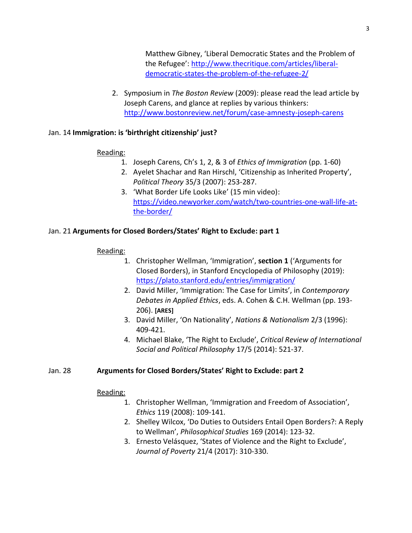Matthew Gibney, 'Liberal Democratic States and the Problem of the Refugee': [http://www.thecritique.com/articles/liberal](http://www.thecritique.com/articles/liberal-democratic-states-the-problem-of-the-refugee-2/)[democratic-states-the-problem-of-the-refugee-2/](http://www.thecritique.com/articles/liberal-democratic-states-the-problem-of-the-refugee-2/)

2. Symposium in *The Boston Review* (2009): please read the lead article by Joseph Carens, and glance at replies by various thinkers: <http://www.bostonreview.net/forum/case-amnesty-joseph-carens>

# Jan. 14 **Immigration: is 'birthright citizenship' just?**

# Reading:

- 1. Joseph Carens, Ch's 1, 2, & 3 of *Ethics of Immigration* (pp. 1-60)
- 2. Ayelet Shachar and Ran Hirschl, 'Citizenship as Inherited Property', *Political Theory* 35/3 (2007): 253-287.
- 3. 'What Border Life Looks Like' (15 min video): [https://video.newyorker.com/watch/two-countries-one-wall-life-at](https://video.newyorker.com/watch/two-countries-one-wall-life-at-the-border/)[the-border/](https://video.newyorker.com/watch/two-countries-one-wall-life-at-the-border/)

# Jan. 21 **Arguments for Closed Borders/States' Right to Exclude: part 1**

# Reading:

- 1. Christopher Wellman, 'Immigration', **section 1** ('Arguments for Closed Borders), in Stanford Encyclopedia of Philosophy (2019): <https://plato.stanford.edu/entries/immigration/>
- 2. David Miller, 'Immigration: The Case for Limits', in *Contemporary Debates in Applied Ethics*, eds. A. Cohen & C.H. Wellman (pp. 193- 206). **[ARES]**
- 3. David Miller, 'On Nationality', *Nations & Nationalism* 2/3 (1996): 409-421.
- 4. Michael Blake, 'The Right to Exclude', *Critical Review of International Social and Political Philosophy* 17/5 (2014): 521-37.

# Jan. 28 **Arguments for Closed Borders/States' Right to Exclude: part 2**

### Reading:

- 1. Christopher Wellman, 'Immigration and Freedom of Association', *Ethics* 119 (2008): 109-141.
- 2. Shelley Wilcox, 'Do Duties to Outsiders Entail Open Borders?: A Reply to Wellman', *Philosophical Studies* 169 (2014): 123-32.
- 3. Ernesto Velásquez, 'States of Violence and the Right to Exclude', *Journal of Poverty* 21/4 (2017): 310-330.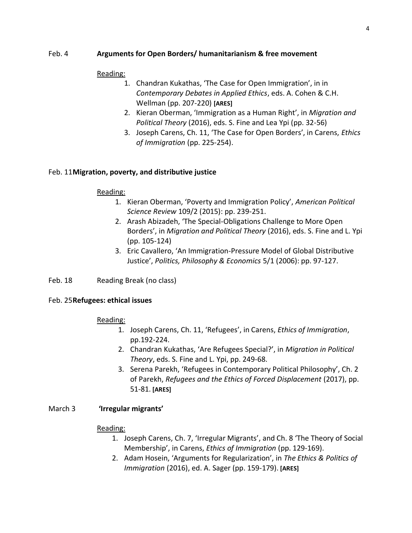# Feb. 4 **Arguments for Open Borders/ humanitarianism & free movement**

### Reading:

- 1. Chandran Kukathas, 'The Case for Open Immigration', in in *Contemporary Debates in Applied Ethics*, eds. A. Cohen & C.H. Wellman (pp. 207-220) **[ARES]**
- 2. Kieran Oberman, 'Immigration as a Human Right', in *Migration and Political Theory* (2016), eds. S. Fine and Lea Ypi (pp. 32-56)
- 3. Joseph Carens, Ch. 11, 'The Case for Open Borders', in Carens, *Ethics of Immigration* (pp. 225-254).

# Feb. 11**Migration, poverty, and distributive justice**

### Reading:

- 1. Kieran Oberman, 'Poverty and Immigration Policy', *American Political Science Review* 109/2 (2015): pp. 239-251.
- 2. Arash Abizadeh, 'The Special-Obligations Challenge to More Open Borders', in *Migration and Political Theory* (2016), eds. S. Fine and L. Ypi (pp. 105-124)
- 3. Eric Cavallero, 'An Immigration-Pressure Model of Global Distributive Justice', *Politics, Philosophy & Economics* 5/1 (2006): pp. 97-127.

### Feb. 18 Reading Break (no class)

### Feb. 25**Refugees: ethical issues**

### Reading:

- 1. Joseph Carens, Ch. 11, 'Refugees', in Carens, *Ethics of Immigration*, pp.192-224.
- 2. Chandran Kukathas, 'Are Refugees Special?', in *Migration in Political Theory*, eds. S. Fine and L. Ypi, pp. 249-68.
- 3. Serena Parekh, 'Refugees in Contemporary Political Philosophy', Ch. 2 of Parekh, *Refugees and the Ethics of Forced Displacement* (2017), pp. 51-81. **[ARES]**

### March 3 **'Irregular migrants'**

### Reading:

- 1. Joseph Carens, Ch. 7, 'Irregular Migrants', and Ch. 8 'The Theory of Social Membership', in Carens, *Ethics of Immigration* (pp. 129-169).
- 2. Adam Hosein, 'Arguments for Regularization', in *The Ethics & Politics of Immigration* (2016), ed. A. Sager (pp. 159-179). **[ARES]**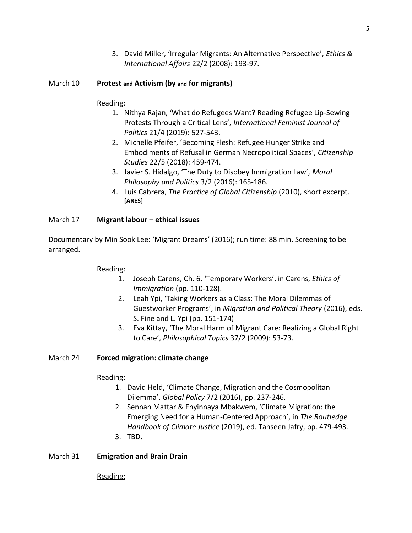3. David Miller, 'Irregular Migrants: An Alternative Perspective', *Ethics & International Affairs* 22/2 (2008): 193-97.

# March 10 **Protest and Activism (by and for migrants)**

# Reading:

- 1. Nithya Rajan, 'What do Refugees Want? Reading Refugee Lip-Sewing Protests Through a Critical Lens', *International Feminist Journal of Politics* 21/4 (2019): 527-543.
- 2. Michelle Pfeifer, 'Becoming Flesh: Refugee Hunger Strike and Embodiments of Refusal in German Necropolitical Spaces', *Citizenship Studies* 22/5 (2018): 459-474.
- 3. Javier S. Hidalgo, 'The Duty to Disobey Immigration Law', *Moral Philosophy and Politics* 3/2 (2016): 165-186.
- 4. Luis Cabrera, *The Practice of Global Citizenship* (2010), short excerpt. **[ARES]**

# March 17 **Migrant labour – ethical issues**

Documentary by Min Sook Lee: 'Migrant Dreams' (2016); run time: 88 min. Screening to be arranged.

### Reading:

- 1. Joseph Carens, Ch. 6, 'Temporary Workers', in Carens, *Ethics of Immigration* (pp. 110-128).
- 2. Leah Ypi, 'Taking Workers as a Class: The Moral Dilemmas of Guestworker Programs', in *Migration and Political Theory* (2016), eds. S. Fine and L. Ypi (pp. 151-174)
- 3. Eva Kittay, 'The Moral Harm of Migrant Care: Realizing a Global Right to Care', *Philosophical Topics* 37/2 (2009): 53-73.

# March 24 **Forced migration: climate change**

# Reading:

- 1. David Held, 'Climate Change, Migration and the Cosmopolitan Dilemma', *Global Policy* 7/2 (2016), pp. 237-246.
- 2. Sennan Mattar & Enyinnaya Mbakwem, 'Climate Migration: the Emerging Need for a Human-Centered Approach', in *The Routledge Handbook of Climate Justice* (2019), ed. Tahseen Jafry, pp. 479-493.
- 3. TBD.

### March 31 **Emigration and Brain Drain**

Reading: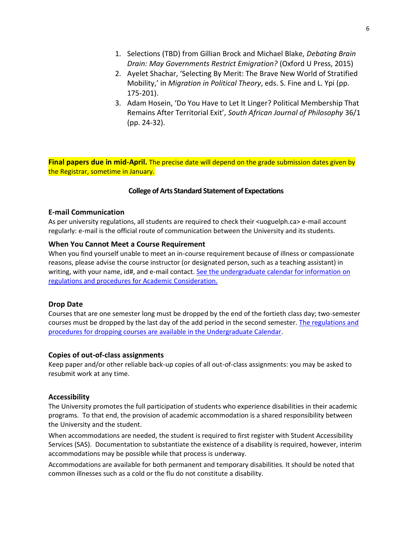- 1. Selections (TBD) from Gillian Brock and Michael Blake, *Debating Brain Drain: May Governments Restrict Emigration?* (Oxford U Press, 2015)
- 2. Ayelet Shachar, 'Selecting By Merit: The Brave New World of Stratified Mobility,' in *Migration in Political Theory*, eds. S. Fine and L. Ypi (pp. 175-201).
- 3. Adam Hosein, 'Do You Have to Let It Linger? Political Membership That Remains After Territorial Exit', *South African Journal of Philosophy* 36/1 (pp. 24-32).

**Final papers due in mid-April.** The precise date will depend on the grade submission dates given by the Registrar, sometime in January.

### **College of Arts Standard Statement of Expectations**

### **E-mail Communication**

As per university regulations, all students are required to check their <uoguelph.ca> e-mail account regularly: e-mail is the official route of communication between the University and its students.

### **When You Cannot Meet a Course Requirement**

When you find yourself unable to meet an in-course requirement because of illness or compassionate reasons, please advise the course instructor (or designated person, such as a teaching assistant) in writing, with your name, id#, and e-mail contact. [See the undergraduate calendar for information on](http://www.uoguelph.ca/registrar/calendars/undergraduate/current/c08/c08-ac.shtml)  [regulations and procedures for Academic Consideration.](http://www.uoguelph.ca/registrar/calendars/undergraduate/current/c08/c08-ac.shtml)

### **Drop Date**

Courses that are one semester long must be dropped by the end of the fortieth class day; two-semester courses must be dropped by the last day of the add period in the second semester[. The regulations and](https://www.uoguelph.ca/registrar/calendars/undergraduate/current/c08/c08-drop.shtml)  [procedures for dropping courses are available in the Undergraduate Calendar.](https://www.uoguelph.ca/registrar/calendars/undergraduate/current/c08/c08-drop.shtml)

### **Copies of out-of-class assignments**

Keep paper and/or other reliable back-up copies of all out-of-class assignments: you may be asked to resubmit work at any time.

### **Accessibility**

The University promotes the full participation of students who experience disabilities in their academic programs. To that end, the provision of academic accommodation is a shared responsibility between the University and the student.

When accommodations are needed, the student is required to first register with Student Accessibility Services (SAS). Documentation to substantiate the existence of a disability is required, however, interim accommodations may be possible while that process is underway.

Accommodations are available for both permanent and temporary disabilities. It should be noted that common illnesses such as a cold or the flu do not constitute a disability.